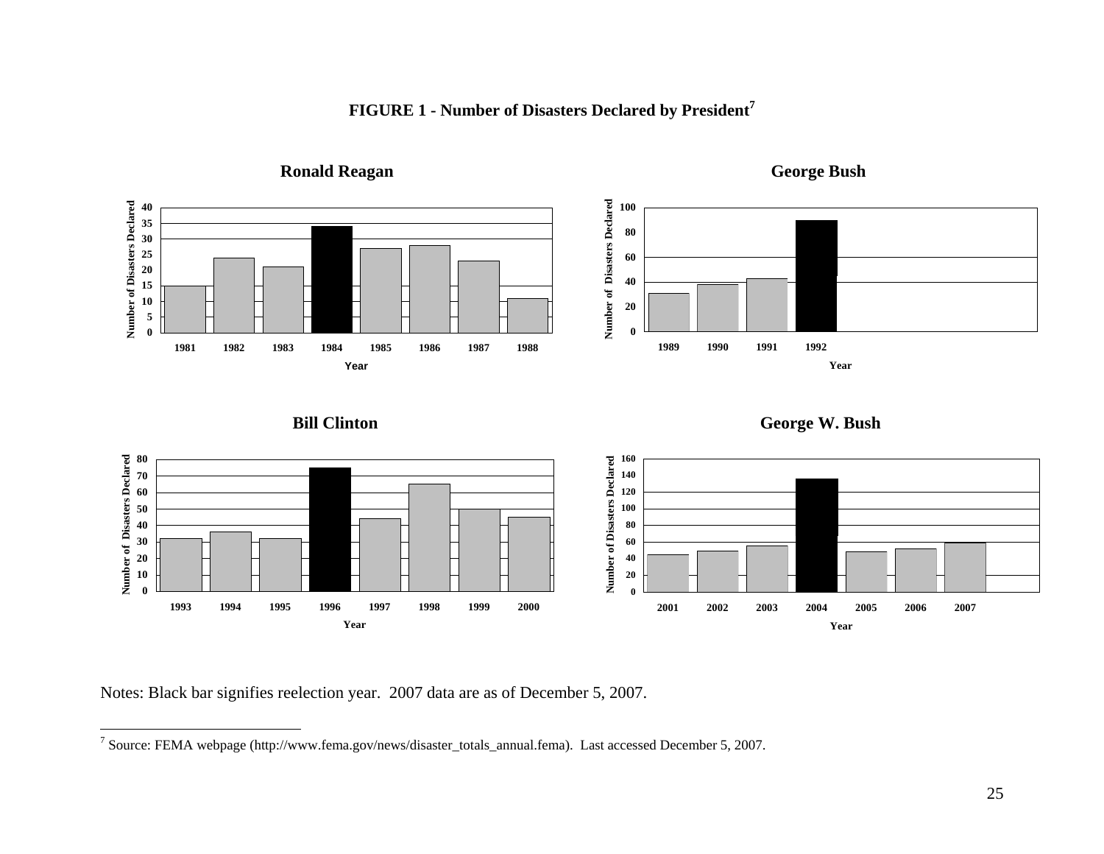



**Ronald Reagan**

**George Bush**

Notes: Black bar signifies reelection year. 2007 data are as of December 5, 2007.

<sup>7</sup> Source: FEMA webpage (http://www.fema.gov/news/disaster\_totals\_annual.fema). Last accessed December 5, 2007.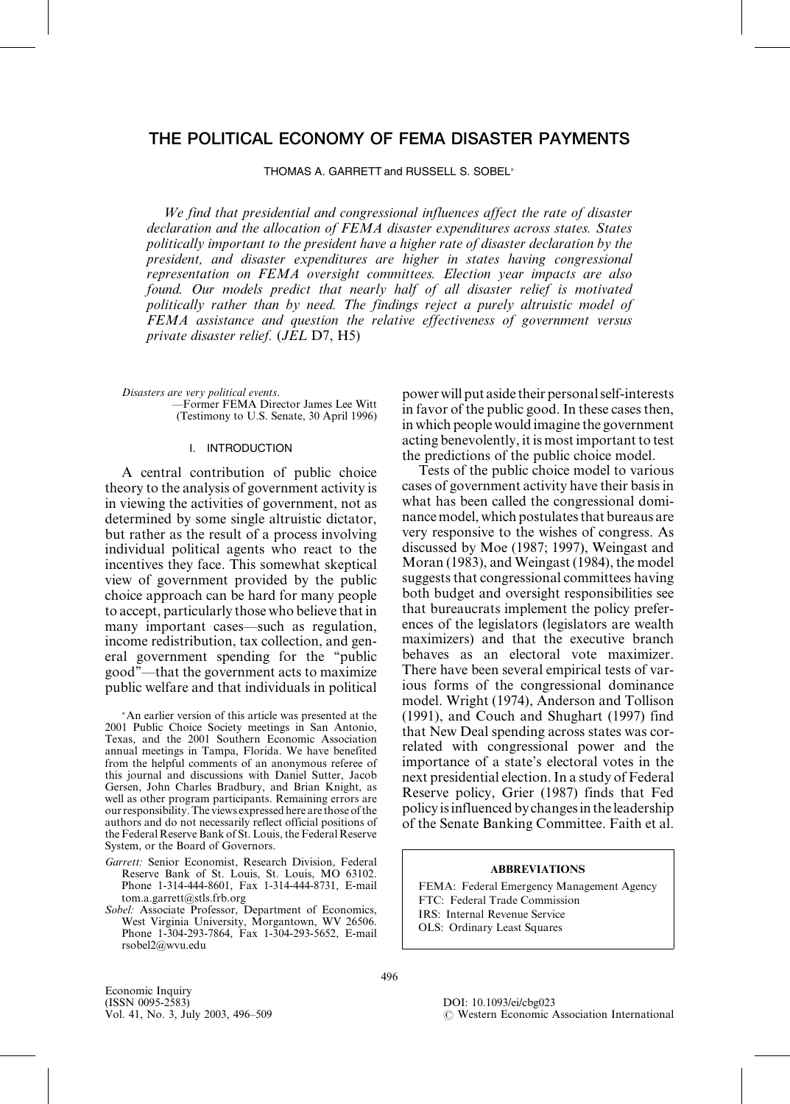# THE POLITICAL ECONOMY OF FEMA DISASTER PAYMENTS

THOMAS A. GARRETT and RUSSELL S. SOBEL

We find that presidential and congressional influences affect the rate of disaster declaration and the allocation of FEMA disaster expenditures across states. States politically important to the president have a higher rate of disaster declaration by the president, and disaster expenditures are higher in states having congressional representation on FEMA oversight committees. Election year impacts are also found. Our models predict that nearly half of all disaster relief is motivated politically rather than by need. The findings reject a purely altruistic model of FEMA assistance and question the relative effectiveness of government versus private disaster relief. (JEL D7, H5)

Disasters are very political events. ÐFormer FEMA Director James Lee Witt (Testimony to U.S. Senate, 30 April 1996)

### I. INTRODUCTION

A central contribution of public choice theory to the analysis of government activity is in viewing the activities of government, not as determined by some single altruistic dictator, but rather as the result of a process involving individual political agents who react to the incentives they face. This somewhat skeptical view of government provided by the public choice approach can be hard for many people to accept, particularly those who believe thatin many important cases—such as regulation, income redistribution, tax collection, and general government spending for the "public good"—that the government acts to maximize public welfare and that individuals in political

An earlier version of this article was presented at the 2001 Public Choice Society meetings in San Antonio, Texas, and the 2001 Southern Economic Association annual meetings in Tampa, Florida. We have benefited from the helpful comments of an anonymous referee of this journal and discussions with Daniel Sutter, Jacob Gersen, John Charles Bradbury, and Brian Knight, as well as other program participants. Remaining errors are our responsibility. The views expressed here are those of the authors and do not necessarily reflect official positions of the Federal Reserve Bank of St. Louis, the Federal Reserve System, or the Board of Governors.

- Garrett: Senior Economist, Research Division, Federal Reserve Bank of St. Louis, St. Louis, MO 63102. Phone 1-314-444-8601, Fax 1-314-444-8731, E-mail tom.a.garrett@stls.frb.org
- Sobel: Associate Professor, Department of Economics, West Virginia University, Morgantown, WV 26506. Phone 1-304-293-7864, Fax 1-304-293-5652, E-mail rsobel2@wvu.edu

power will put aside their personalself-interests in favor of the public good.In these cases then, in which people would imagine the government acting benevolently, it is most important to test the predictions of the public choice model.

Tests of the public choice model to various cases of government activity have their basis in what has been called the congressional dominance model, which postulates that bureaus are very responsive to the wishes of congress. As discussed by Moe (1987; 1997), Weingast and Moran (1983), and Weingast (1984), the model suggests that congressional committees having both budget and oversight responsibilities see that bureaucrats implement the policy preferences of the legislators (legislators are wealth maximizers) and that the executive branch behaves as an electoral vote maximizer. There have been several empirical tests of various forms of the congressional dominance model. Wright (1974), Anderson and Tollison (1991), and Couch and Shughart (1997) find that New Deal spending across states was correlated with congressional power and the importance of a state's electoral votes in the next presidential election.In a study of Federal Reserve policy, Grier (1987) finds that Fed policy isinfluenced by changesinthe leadership of the Senate Banking Committee. Faith et al.

#### ABBREVIATIONS

FEMA: Federal Emergency Management Agency FTC: Federal Trade Commission IRS: Internal Revenue Service OLS: Ordinary Least Squares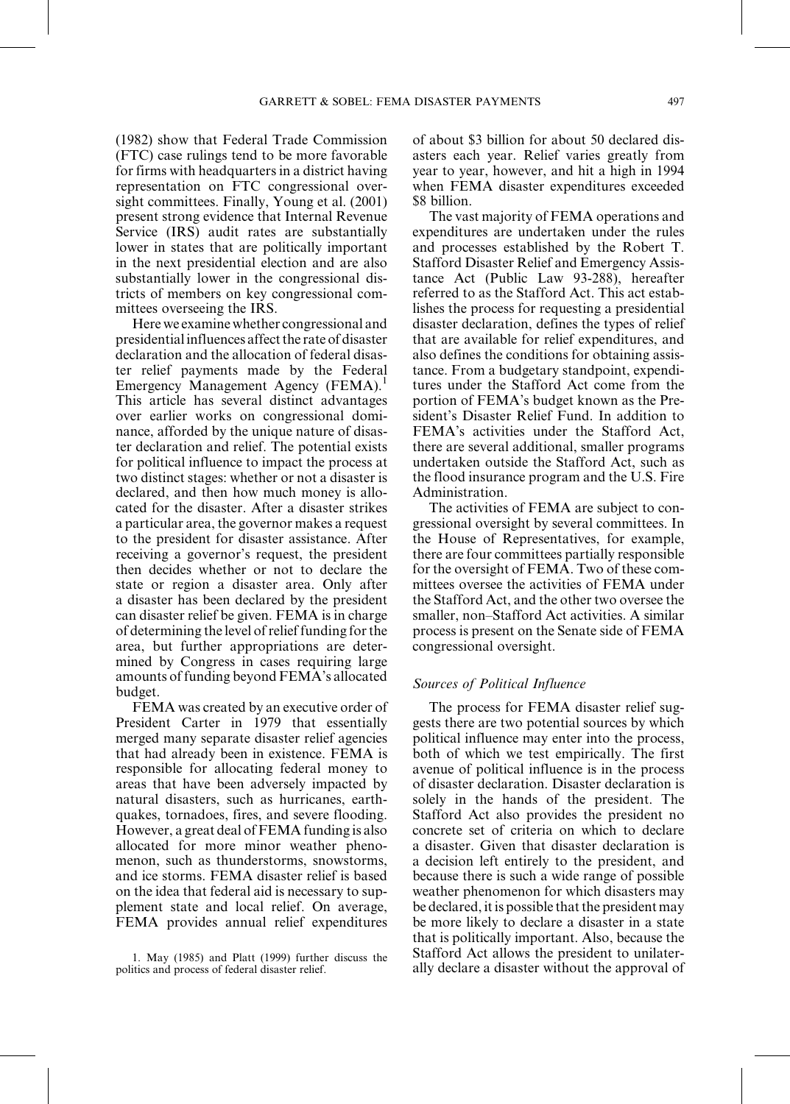(1982) show that Federal Trade Commission (FTC) case rulings tend to be more favorable for firms with headquarters in a district having representation on FTC congressional oversight committees. Finally, Young et al. (2001) present strong evidence that Internal Revenue Service (IRS) audit rates are substantially lower in states that are politically important in the next presidential election and are also substantially lower in the congressional districts of members on key congressional committees overseeing the IRS.

Here we examinewhether congressional and presidential influences affect the rate of disaster declaration and the allocation of federal disaster relief payments made by the Federal Emergency Management Agency (FEMA).<sup>1</sup> This article has several distinct advantages over earlier works on congressional dominance, afforded by the unique nature of disaster declaration and relief. The potential exists for political influence to impact the process at two distinct stages: whether or not a disaster is declared, and then how much money is allocated for the disaster. After a disaster strikes a particular area, the governor makes a request to the president for disaster assistance. After receiving a governor's request, the president then decides whether or not to declare the state or region a disaster area. Only after a disaster has been declared by the president can disaster relief be given. FEMA is in charge of determining the level ofrelief funding forthe area, but further appropriations are determined by Congress in cases requiring large amounts of funding beyond FEMA's allocated budget.

FEMA was created by an executive order of President Carter in 1979 that essentially merged many separate disaster relief agencies that had already been in existence. FEMA is responsible for allocating federal money to areas that have been adversely impacted by natural disasters, such as hurricanes, earthquakes, tornadoes, fires, and severe flooding. However, a great deal of FEMA funding is also allocated for more minor weather phenomenon, such as thunderstorms, snowstorms, and ice storms. FEMA disaster relief is based on the idea that federal aid is necessary to supplement state and local relief. On average, FEMA provides annual relief expenditures of about \$3 billion for about 50 declared disasters each year. Relief varies greatly from year to year, however, and hit a high in 1994 when FEMA disaster expenditures exceeded \$8 billion.

The vast majority of FEMA operations and expenditures are undertaken under the rules and processes established by the Robert T. Stafford Disaster Relief and Emergency Assistance Act (Public Law 93-288), hereafter referred to as the Stafford Act. This act establishes the process for requesting a presidential disaster declaration, defines the types of relief that are available for relief expenditures, and also defines the conditions for obtaining assistance. From a budgetary standpoint, expenditures under the Stafford Act come from the portion of FEMA's budget known as the President's Disaster Relief Fund. In addition to FEMA's activities under the Stafford Act, there are several additional, smaller programs undertaken outside the Stafford Act, such as the flood insurance program and the U.S. Fire Administration.

The activities of FEMA are subject to congressional oversight by several committees. In the House of Representatives, for example, there are four committees partially responsible for the oversight of FEMA. Two of these committees oversee the activities of FEMA under the Stafford Act, and the other two oversee the smaller, non-Stafford Act activities. A similar process is present on the Senate side of FEMA congressional oversight.

### Sources of Political Influence

The process for FEMA disaster relief suggests there are two potential sources by which political influence may enter into the process, both of which we test empirically. The first avenue of political influence is in the process of disaster declaration. Disaster declaration is solely in the hands of the president. The Stafford Act also provides the president no concrete set of criteria on which to declare a disaster. Given that disaster declaration is a decision left entirely to the president, and because there is such a wide range of possible weather phenomenon for which disasters may be declared, it is possible that the president may be more likely to declare a disaster in a state that is politically important. Also, because the Stafford Act allows the president to unilaterally declare a disaster without the approval of

<sup>1.</sup> May (1985) and Platt (1999) further discuss the politics and process of federal disaster relief.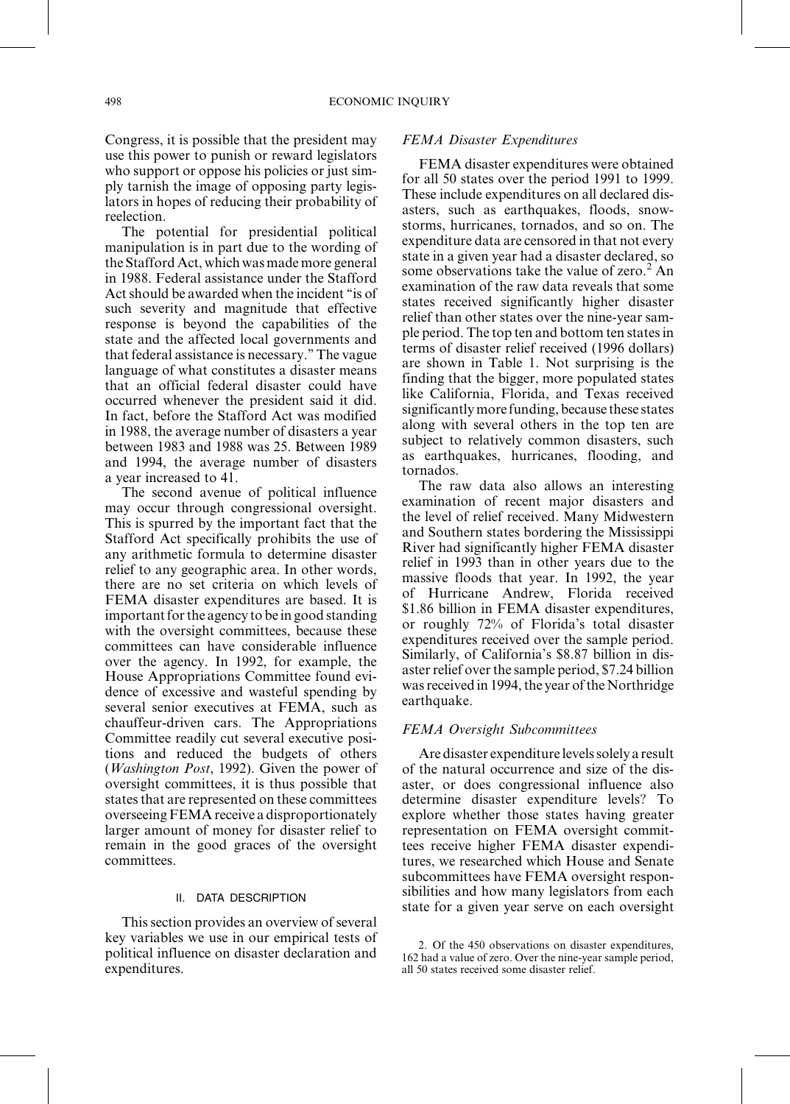Congress, it is possible that the president may use this power to punish or reward legislators who support or oppose his policies or just simply tarnish the image of opposing party legislators in hopes of reducing their probability of reelection.

The potential for presidential political manipulation is in part due to the wording of the Stafford Act, which was made more general in 1988. Federal assistance under the Stafford Act should be awarded when the incident "is of such severity and magnitude that effective response is beyond the capabilities of the state and the affected local governments and that federal assistance is necessary.'' The vague language of what constitutes a disaster means that an official federal disaster could have occurred whenever the president said it did. In fact, before the Stafford Act was modified in 1988, the average number of disasters a year between 1983 and 1988 was 25. Between 1989 and 1994, the average number of disasters a year increased to 41.

The second avenue of political influence may occur through congressional oversight. This is spurred by the important fact that the Stafford Act specifically prohibits the use of any arithmetic formula to determine disaster relief to any geographic area. In other words, there are no set criteria on which levels of FEMA disaster expenditures are based. It is important for the agency to be in good standing with the oversight committees, because these committees can have considerable influence over the agency. In 1992, for example, the House Appropriations Committee found evidence of excessive and wasteful spending by several senior executives at FEMA, such as chauffeur-driven cars. The Appropriations Committee readily cut several executive positions and reduced the budgets of others (Washington Post, 1992). Given the power of oversight committees, it is thus possible that states that are represented on these committees overseeing FEMA receive a disproportionately larger amount of money for disaster relief to remain in the good graces of the oversight committees.

#### II. DATA DESCRIPTION

This section provides an overview of several key variables we use in our empirical tests of political influence on disaster declaration and expenditures.

### FEMA Disaster Expenditures

FEMA disaster expenditures were obtained for all 50 states over the period 1991 to 1999. These include expenditures on all declared disasters, such as earthquakes, floods, snowstorms, hurricanes, tornados, and so on. The expenditure data are censored in that not every state in a given year had a disaster declared, so some observations take the value of zero.<sup>2</sup> An examination of the raw data reveals that some states received significantly higher disaster relief than other states over the nine-year sample period. The top ten and bottom ten statesin terms of disaster relief received (1996 dollars) are shown in Table 1. Not surprising is the finding that the bigger, more populated states like California, Florida, and Texas received significantly more funding, because these states along with several others in the top ten are subject to relatively common disasters, such as earthquakes, hurricanes, flooding, and tornados.

The raw data also allows an interesting examination of recent major disasters and the level of relief received. Many Midwestern and Southern states bordering the Mississippi River had significantly higher FEMA disaster relief in 1993 than in other years due to the massive floods that year. In 1992, the year of Hurricane Andrew, Florida received \$1.86 billion in FEMA disaster expenditures, or roughly 72% of Florida's total disaster expenditures received over the sample period. Similarly, of California's \$8.87 billion in disaster relief over the sample period, \$7.24 billion was received in 1994, the year of the Northridge earthquake.

#### FEMA Oversight Subcommittees

Are disaster expenditure levels solely a result of the natural occurrence and size of the disaster, or does congressional influence also determine disaster expenditure levels? To explore whether those states having greater representation on FEMA oversight committees receive higher FEMA disaster expenditures, we researched which House and Senate subcommittees have FEMA oversight responsibilities and how many legislators from each state for a given year serve on each oversight

<sup>2.</sup> Of the 450 observations on disaster expenditures, 162 had a value of zero. Over the nine-year sample period, all 50 states received some disaster relief.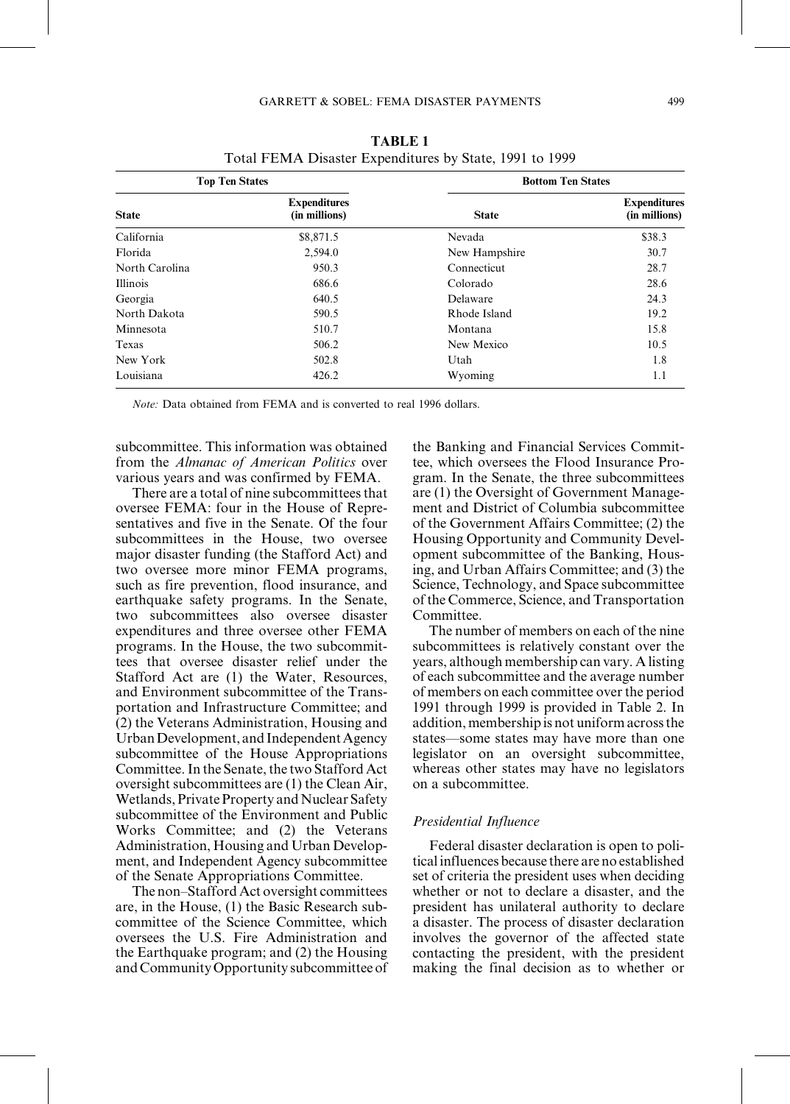| <b>Top Ten States</b> |                                      | <b>Bottom Ten States</b> |                                      |  |
|-----------------------|--------------------------------------|--------------------------|--------------------------------------|--|
| <b>State</b>          | <b>Expenditures</b><br>(in millions) | <b>State</b>             | <b>Expenditures</b><br>(in millions) |  |
| California            | \$8,871.5                            | Nevada                   | \$38.3                               |  |
| Florida               | 2,594.0                              | New Hampshire            | 30.7                                 |  |
| North Carolina        | 950.3                                | Connecticut              | 28.7                                 |  |
| <b>Illinois</b>       | 686.6                                | Colorado                 | 28.6                                 |  |
| Georgia               | 640.5                                | Delaware                 | 24.3                                 |  |
| North Dakota          | 590.5                                | Rhode Island             | 19.2                                 |  |
| Minnesota             | 510.7                                | Montana                  | 15.8                                 |  |
| Texas                 | 506.2                                | New Mexico               | 10.5                                 |  |
| New York              | 502.8                                | Utah                     | 1.8                                  |  |
| Louisiana             | 426.2                                | Wyoming                  | 1.1                                  |  |

TABLE 1 Total FEMA Disaster Expenditures by State, 1991 to 1999

Note: Data obtained from FEMA and is converted to real 1996 dollars.

subcommittee. This information was obtained from the Almanac of American Politics over various years and was confirmed by FEMA.

There are a total of nine subcommittees that oversee FEMA: four in the House of Representatives and five in the Senate. Of the four subcommittees in the House, two oversee major disaster funding (the Stafford Act) and two oversee more minor FEMA programs, such as fire prevention, flood insurance, and earthquake safety programs. In the Senate, two subcommittees also oversee disaster expenditures and three oversee other FEMA programs. In the House, the two subcommittees that oversee disaster relief under the Stafford Act are (1) the Water, Resources, and Environment subcommittee of the Transportation and Infrastructure Committee; and (2) the Veterans Administration, Housing and Urban Development, and Independent Agency subcommittee of the House Appropriations Committee. In the Senate, the two Stafford Act oversight subcommittees are (1) the Clean Air, Wetlands, Private Property and Nuclear Safety subcommittee of the Environment and Public Works Committee; and (2) the Veterans Administration, Housing and Urban Development, and Independent Agency subcommittee of the Senate Appropriations Committee.

The non-Stafford Act oversight committees are, in the House, (1) the Basic Research subcommittee of the Science Committee, which oversees the U.S. Fire Administration and the Earthquake program; and (2) the Housing andCommunityOpportunity subcommittee of the Banking and Financial Services Committee, which oversees the Flood Insurance Program. In the Senate, the three subcommittees are (1) the Oversight of Government Management and District of Columbia subcommittee of the Government Affairs Committee; (2) the Housing Opportunity and Community Development subcommittee of the Banking, Housing, and Urban Affairs Committee; and (3) the Science, Technology, and Space subcommittee of the Commerce, Science, and Transportation Committee.

The number of members on each of the nine subcommittees is relatively constant over the years, although membership can vary. A listing of each subcommittee and the average number of members on each committee overthe period 1991 through 1999 is provided in Table 2. In addition, membership is not uniform acrossthe states—some states may have more than one legislator on an oversight subcommittee, whereas other states may have no legislators on a subcommittee.

### Presidential Influence

Federal disaster declaration is open to political influences because there are no established set of criteria the president uses when deciding whether or not to declare a disaster, and the president has unilateral authority to declare a disaster. The process of disaster declaration involves the governor of the affected state contacting the president, with the president making the final decision as to whether or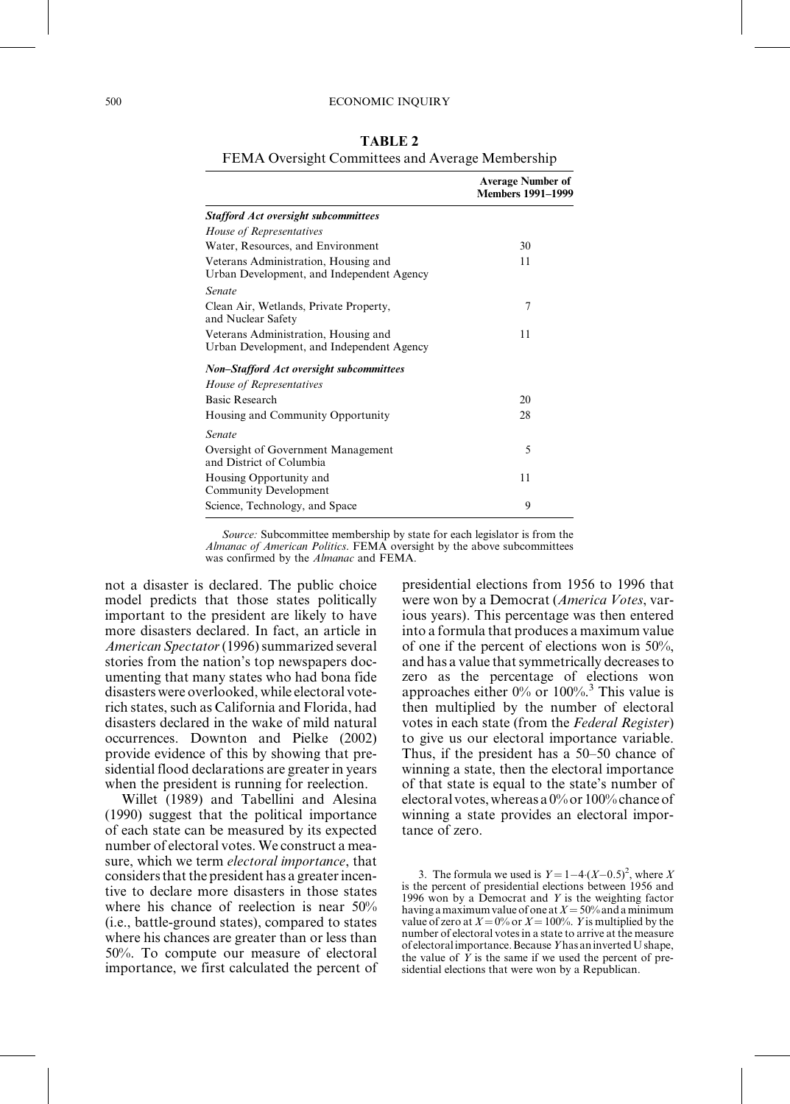#### 500 ECONOMIC INQUIRY

| T EIVIA OVERSIGNI COMMITTEES and AVERAGE MEMORISHIP                               |                                                      |  |  |
|-----------------------------------------------------------------------------------|------------------------------------------------------|--|--|
|                                                                                   | <b>Average Number of</b><br><b>Members 1991-1999</b> |  |  |
| <b>Stafford Act oversight subcommittees</b>                                       |                                                      |  |  |
| House of Representatives                                                          |                                                      |  |  |
| Water, Resources, and Environment                                                 | 30                                                   |  |  |
| Veterans Administration, Housing and<br>Urban Development, and Independent Agency | 11                                                   |  |  |
| <b>Senate</b>                                                                     |                                                      |  |  |
| Clean Air, Wetlands, Private Property,<br>and Nuclear Safety                      | 7                                                    |  |  |
| Veterans Administration, Housing and<br>Urban Development, and Independent Agency | 11                                                   |  |  |
| <b>Non–Stafford Act oversight subcommittees</b>                                   |                                                      |  |  |
| <i>House of Representatives</i>                                                   |                                                      |  |  |
| Basic Research                                                                    | 20                                                   |  |  |
| Housing and Community Opportunity                                                 | 28                                                   |  |  |

TABLE 2

## FEMA Oversight Committees and Average Membership

Source: Subcommittee membership by state for each legislator is from the Almanac of American Politics. FEMA oversight by the above subcommittees was confirmed by the Almanac and FEMA.

Science, Technology, and Space 9

not a disaster is declared. The public choice model predicts that those states politically important to the president are likely to have more disasters declared. In fact, an article in American Spectator (1996) summarized several stories from the nation's top newspapers documenting that many states who had bona fide disasters were overlooked, while electoral voterich states, such as California and Florida, had disasters declared in the wake of mild natural occurrences. Downton and Pielke (2002) provide evidence of this by showing that presidential flood declarations are greater in years when the president is running for reelection.

Senate

Oversight of Government Management

and District of Columbia

Housing Opportunity and Community Development

Willet (1989) and Tabellini and Alesina (1990) suggest that the political importance of each state can be measured by its expected number of electoral votes. We construct a measure, which we term *electoral importance*, that considers that the president has a greater incentive to declare more disasters in those states where his chance of reelection is near 50% (i.e., battle-ground states), compared to states where his chances are greater than or less than 50%. To compute our measure of electoral importance, we first calculated the percent of presidential elections from 1956 to 1996 that were won by a Democrat (America Votes, various years). This percentage was then entered into a formula that produces a maximum value of one if the percent of elections won is 50%, and has a value that symmetrically decreases to zero as the percentage of elections won approaches either  $0\%$  or  $100\%$ .<sup>3</sup> This value is then multiplied by the number of electoral votes in each state (from the Federal Register) to give us our electoral importance variable. Thus, if the president has a 50–50 chance of winning a state, then the electoral importance of that state is equal to the state's number of electoral votes, whereas a  $0\%$  or  $100\%$  chance of winning a state provides an electoral importance of zero.

5

11

3. The formula we used is  $Y = 1-4\left(X-0.5\right)^2$ , where X is the percent of presidential elections between 1956 and 1996 won by a Democrat and  $Y$  is the weighting factor having a maximum value of one at  $X = 50\%$  and a minimum value of zero at  $X = 0\%$  or  $X = 100\%$ . Y is multiplied by the number of electoral votesin a state to arrive at the measure of electoralimportance.BecauseYhas aninvertedU shape, the value of  $Y$  is the same if we used the percent of presidential elections that were won by a Republican.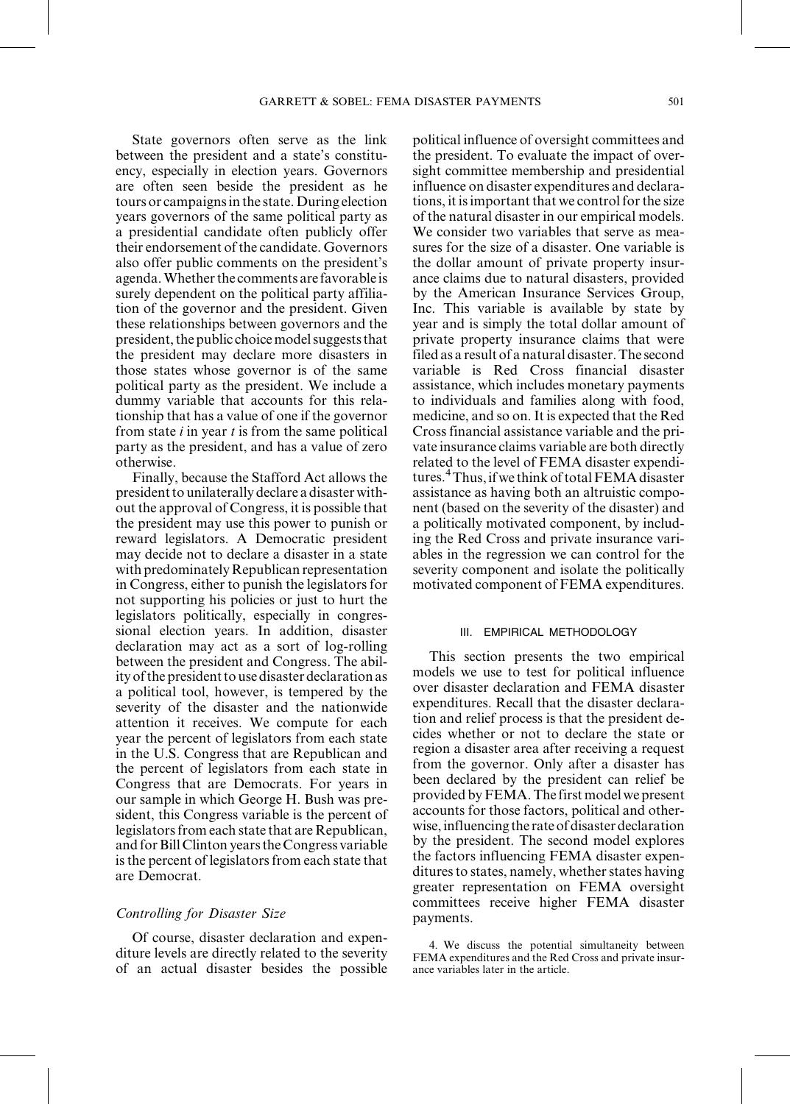State governors often serve as the link between the president and a state's constituency, especially in election years. Governors are often seen beside the president as he tours or campaignsin the state. During election years governors of the same political party as a presidential candidate often publicly offer their endorsement of the candidate. Governors also offer public comments on the president's agenda. Whether the comments are favorable is surely dependent on the political party affiliation of the governor and the president. Given these relationships between governors and the president, the public choice model suggests that the president may declare more disasters in those states whose governor is of the same political party as the president. We include a dummy variable that accounts for this relationship that has a value of one if the governor from state  $i$  in year  $t$  is from the same political party as the president, and has a value of zero otherwise.

Finally, because the Stafford Act allows the presidentto unilaterally declare a disasterwithout the approval of Congress, it is possible that the president may use this power to punish or reward legislators. A Democratic president may decide not to declare a disaster in a state with predominately Republican representation in Congress, either to punish the legislators for not supporting his policies or just to hurt the legislators politically, especially in congressional election years. In addition, disaster declaration may act as a sort of log-rolling between the president and Congress. The abilityofthepresidentto usedisasterdeclaration as a political tool, however, is tempered by the severity of the disaster and the nationwide attention it receives. We compute for each year the percent of legislators from each state in the U.S. Congress that are Republican and the percent of legislators from each state in Congress that are Democrats. For years in our sample in which George H. Bush was president, this Congress variable is the percent of legislators from each state that are Republican, and for Bill Clinton years the Congress variable is the percent of legislators from each state that are Democrat.

### Controlling for Disaster Size

Of course, disaster declaration and expenditure levels are directly related to the severity of an actual disaster besides the possible political influence of oversight committees and the president. To evaluate the impact of oversight committee membership and presidential influence on disaster expenditures and declarations, it is important that we control for the size of the natural disaster in our empirical models. We consider two variables that serve as measures for the size of a disaster. One variable is the dollar amount of private property insurance claims due to natural disasters, provided by the American Insurance Services Group, Inc. This variable is available by state by year and is simply the total dollar amount of private property insurance claims that were filed as a result of a natural disaster.The second variable is Red Cross financial disaster assistance, which includes monetary payments to individuals and families along with food, medicine, and so on.It is expected that the Red Cross financial assistance variable and the private insurance claims variable are both directly related to the level of FEMA disaster expenditures.<sup>4</sup>Thus, if we think of total FEMA disaster assistance as having both an altruistic component (based on the severity of the disaster) and a politically motivated component, by including the Red Cross and private insurance variables in the regression we can control for the severity component and isolate the politically motivated component of FEMA expenditures.

### III. EMPIRICAL METHODOLOGY

This section presents the two empirical models we use to test for political influence over disaster declaration and FEMA disaster expenditures. Recall that the disaster declaration and relief process is that the president decides whether or not to declare the state or region a disaster area after receiving a request from the governor. Only after a disaster has been declared by the president can relief be provided byFEMA.The first model we present accounts for those factors, political and otherwise, influencing the rate of disaster declaration by the president. The second model explores the factors influencing FEMA disaster expenditures to states, namely, whether states having greater representation on FEMA oversight committees receive higher FEMA disaster payments.

<sup>4.</sup> We discuss the potential simultaneity between FEMA expenditures and the Red Cross and private insurance variables later in the article.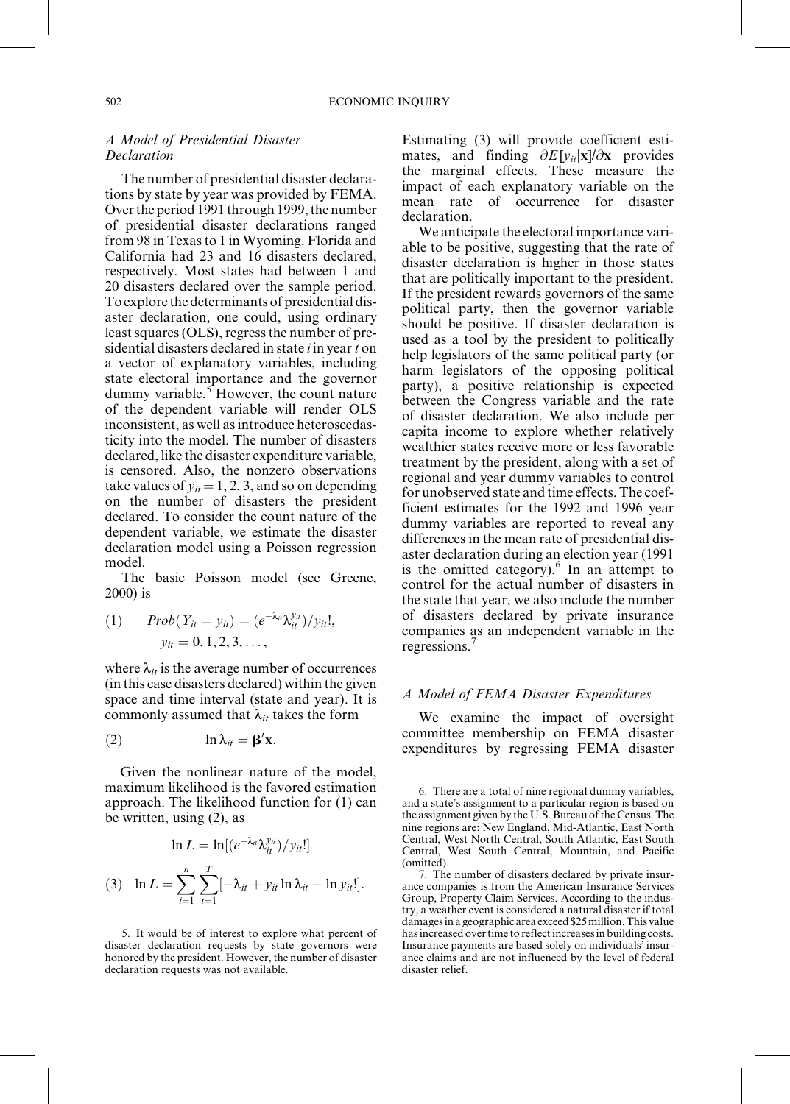## A Model of Presidential Disaster **Declaration**

The number of presidential disaster declarations by state by year was provided by FEMA. Over the period 1991 through 1999, the number of presidential disaster declarations ranged from 98 in Texasto 1 in Wyoming. Florida and California had 23 and 16 disasters declared, respectively. Most states had between 1 and 20 disasters declared over the sample period. To explore the determinants of presidential disaster declaration, one could, using ordinary least squares (OLS), regress the number of presidential disasters declared in state  $i$  in year  $t$  on a vector of explanatory variables, including state electoral importance and the governor dummy variable. $5$  However, the count nature of the dependent variable will render OLS inconsistent, as well as introduce heteroscedasticity into the model. The number of disasters declared, like the disaster expenditure variable, is censored. Also, the nonzero observations take values of  $y_{it} = 1, 2, 3$ , and so on depending on the number of disasters the president declared. To consider the count nature of the dependent variable, we estimate the disaster declaration model using a Poisson regression model.

The basic Poisson model (see Greene, 2000) is

(1) 
$$
Prob(Y_{it} = y_{it}) = (e^{-\lambda_{it}} \lambda_{it}^{y_{it}})/y_{it}!,
$$
  
\n $y_{it} = 0, 1, 2, 3, ...,$ 

where  $\lambda_{it}$  is the average number of occurrences (in this case disasters declared) within the given space and time interval (state and year). It is commonly assumed that  $\lambda_{it}$  takes the form

ln lit b<sup>0</sup> 2 x:

Given the nonlinear nature of the model, maximum likelihood is the favored estimation approach. The likelihood function for (1) can be written, using (2), as

$$
\ln L = \ln[(e^{-\lambda_{it}}\lambda_{it}^{y_{it}})/y_{it}!]
$$
  
(3) 
$$
\ln L = \sum_{i=1}^{n} \sum_{t=1}^{T} [-\lambda_{it} + y_{it} \ln \lambda_{it} - \ln y_{it}!].
$$

5. It would be of interest to explore what percent of disaster declaration requests by state governors were honored by the president. However, the number of disaster declaration requests was not available.

Estimating (3) will provide coefficient estimates, and finding  $\partial E[y_{it}|\mathbf{x}]/\partial \mathbf{x}$  provides the marginal effects. These measure the impact of each explanatory variable on the mean rate of occurrence for disaster declaration.

We anticipate the electoral importance variable to be positive, suggesting that the rate of disaster declaration is higher in those states that are politically important to the president. If the president rewards governors of the same political party, then the governor variable should be positive. If disaster declaration is used as a tool by the president to politically help legislators of the same political party (or harm legislators of the opposing political party), a positive relationship is expected between the Congress variable and the rate of disaster declaration. We also include per capita income to explore whether relatively wealthier states receive more or less favorable treatment by the president, along with a set of regional and year dummy variables to control for unobserved state and time effects. The coefficient estimates for the 1992 and 1996 year dummy variables are reported to reveal any differences in the mean rate of presidential disaster declaration during an election year (1991 is the omitted category). $6 \text{ In an attempt to}$ control for the actual number of disasters in the state that year, we also include the number of disasters declared by private insurance companies as an independent variable in the regressions.<sup>7</sup>

#### A Model of FEMA Disaster Expenditures

We examine the impact of oversight committee membership on FEMA disaster expenditures by regressing FEMA disaster

7. The number of disasters declared by private insurance companies is from the American Insurance Services Group, Property Claim Services. According to the industry, a weather event is considered a natural disaster if total damagesina geographic area exceed\$25million.This value has increased over time to reflect increases in building costs. Insurance payments are based solely on individuals' insurance claims and are not influenced by the level of federal disaster relief.

<sup>6.</sup> There are a total of nine regional dummy variables, and a state's assignment to a particular region is based on the assignment given by the U.S. Bureau of the Census. The nine regions are: New England, Mid-Atlantic, East North Central, West North Central, South Atlantic, East South Central, West South Central, Mountain, and Pacific (omitted).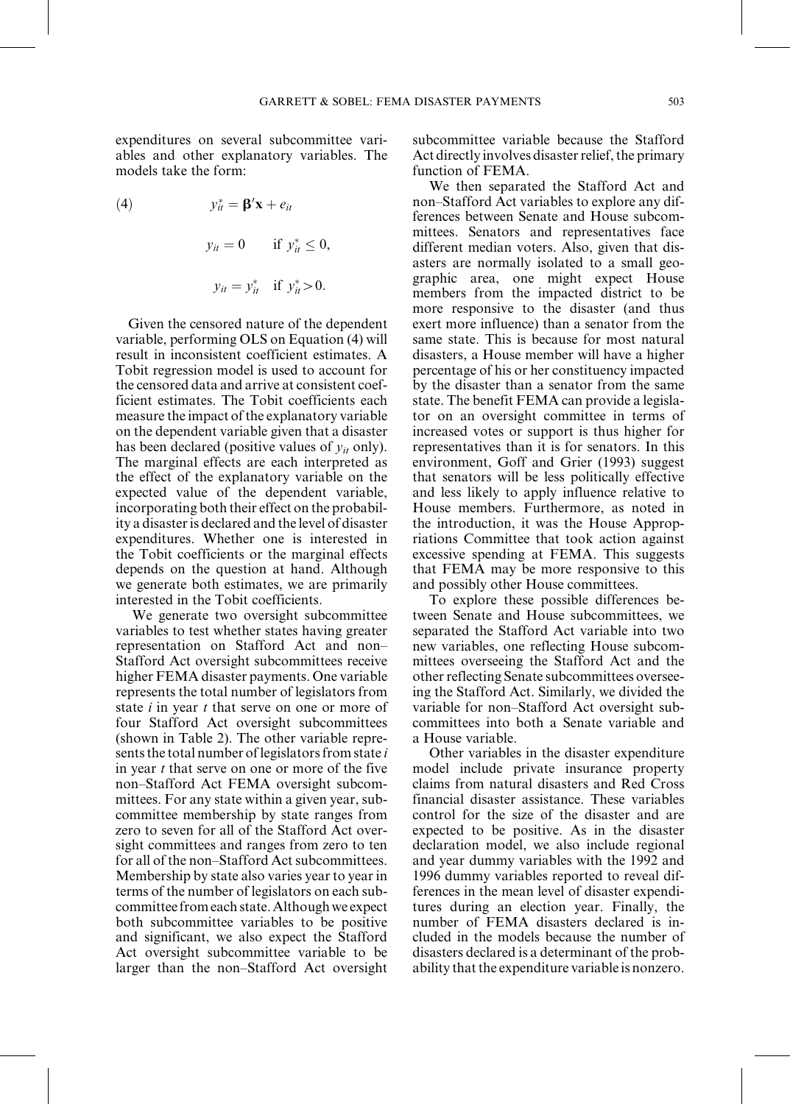expenditures on several subcommittee variables and other explanatory variables. The models take the form:

(4)  $y_{it}^* = \mathbf{\beta}'\mathbf{x} + e_{it}$  $y_{it} = 0$  if  $y_{it}^* \le 0$ ,  $y_{it} = y_{it}^*$  if  $y_{it}^* > 0$ .

Given the censored nature of the dependent variable, performing OLS on Equation (4) will result in inconsistent coefficient estimates. A Tobit regression model is used to account for the censored data and arrive at consistent coefficient estimates. The Tobit coefficients each measure the impact of the explanatory variable on the dependent variable given that a disaster has been declared (positive values of  $y_{it}$  only). The marginal effects are each interpreted as the effect of the explanatory variable on the expected value of the dependent variable, incorporating both their effect on the probability a disaster is declared and the level of disaster expenditures. Whether one is interested in the Tobit coefficients or the marginal effects depends on the question at hand. Although we generate both estimates, we are primarily interested in the Tobit coefficients.

We generate two oversight subcommittee variables to test whether states having greater representation on Stafford Act and non-Stafford Act oversight subcommittees receive higher FEMA disaster payments. One variable represents the total number of legislators from state  $i$  in year  $t$  that serve on one or more of four Stafford Act oversight subcommittees (shown in Table 2). The other variable represents the total number of legislators from state  $i$ in year t that serve on one or more of the five non-Stafford Act FEMA oversight subcommittees. For any state within a given year, subcommittee membership by state ranges from zero to seven for all of the Stafford Act oversight committees and ranges from zero to ten for all of the non-Stafford Act subcommittees. Membership by state also varies year to year in terms of the number of legislators on each subcommittee from each state.Althoughwe expect both subcommittee variables to be positive and significant, we also expect the Stafford Act oversight subcommittee variable to be larger than the non-Stafford Act oversight

subcommittee variable because the Stafford Act directly involves disaster relief, the primary function of FEMA.

We then separated the Stafford Act and non–Stafford Act variables to explore any differences between Senate and House subcommittees. Senators and representatives face different median voters. Also, given that disasters are normally isolated to a small geographic area, one might expect House members from the impacted district to be more responsive to the disaster (and thus exert more influence) than a senator from the same state. This is because for most natural disasters, a House member will have a higher percentage of his or her constituency impacted by the disaster than a senator from the same state. The benefit FEMA can provide a legislator on an oversight committee in terms of increased votes or support is thus higher for representatives than it is for senators. In this environment, Goff and Grier (1993) suggest that senators will be less politically effective and less likely to apply influence relative to House members. Furthermore, as noted in the introduction, it was the House Appropriations Committee that took action against excessive spending at FEMA. This suggests that FEMA may be more responsive to this and possibly other House committees.

To explore these possible differences between Senate and House subcommittees, we separated the Stafford Act variable into two new variables, one reflecting House subcommittees overseeing the Stafford Act and the other reflecting Senate subcommittees overseeing the Stafford Act. Similarly, we divided the variable for non-Stafford Act oversight subcommittees into both a Senate variable and a House variable.

Other variables in the disaster expenditure model include private insurance property claims from natural disasters and Red Cross financial disaster assistance. These variables control for the size of the disaster and are expected to be positive. As in the disaster declaration model, we also include regional and year dummy variables with the 1992 and 1996 dummy variables reported to reveal differences in the mean level of disaster expenditures during an election year. Finally, the number of FEMA disasters declared is included in the models because the number of disasters declared is a determinant of the probability that the expenditure variable is nonzero.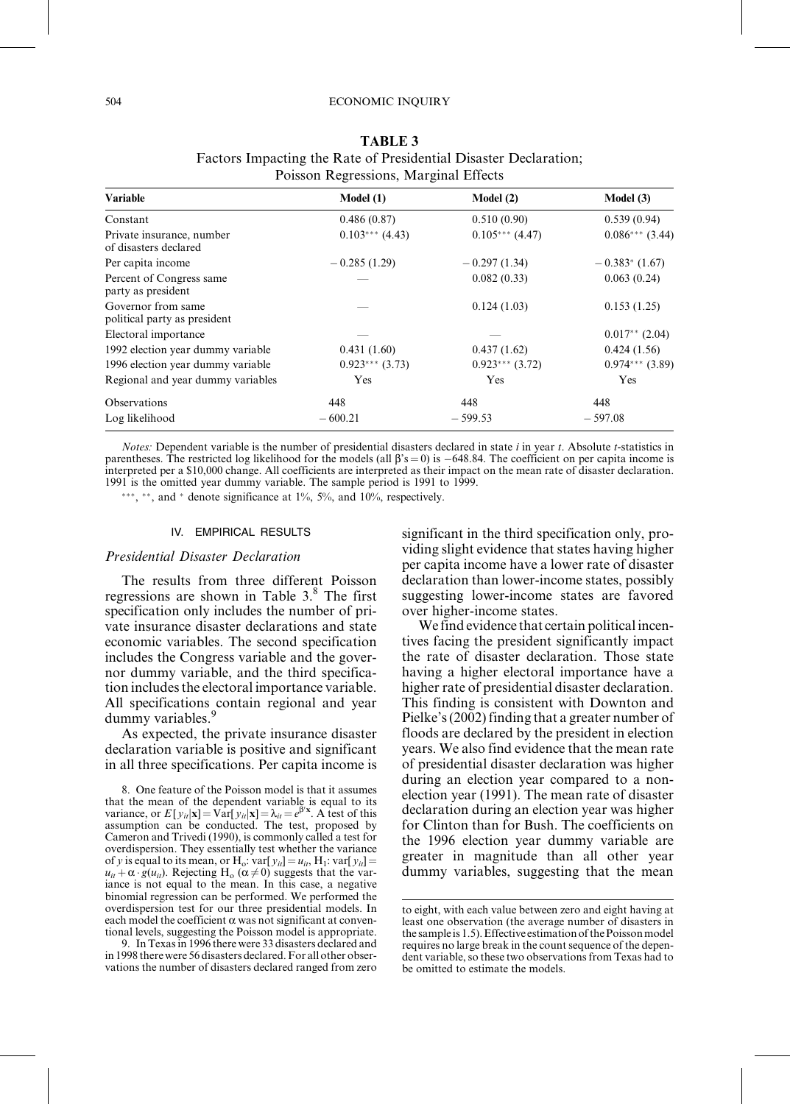| <b>Variable</b>                                    | Model(1)          | Model(2)          | Model(3)                     |
|----------------------------------------------------|-------------------|-------------------|------------------------------|
| Constant                                           | 0.486(0.87)       | 0.510(0.90)       | 0.539(0.94)                  |
| Private insurance, number<br>of disasters declared | $0.103***$ (4.43) | $0.105***$ (4.47) | $0.086***$ (3.44)            |
| Per capita income                                  | $-0.285(1.29)$    | $-0.297(1.34)$    | $-0.383$ <sup>*</sup> (1.67) |
| Percent of Congress same<br>party as president     |                   | 0.082(0.33)       | 0.063(0.24)                  |
| Governor from same<br>political party as president |                   | 0.124(1.03)       | 0.153(1.25)                  |
| Electoral importance                               |                   |                   | $0.017**$ (2.04)             |
| 1992 election year dummy variable                  | 0.431(1.60)       | 0.437(1.62)       | 0.424(1.56)                  |
| 1996 election year dummy variable                  | $0.923***(3.73)$  | $0.923***$ (3.72) | $0.974***$ (3.89)            |
| Regional and year dummy variables                  | Yes               | Yes               | Yes                          |
| Observations                                       | 448               | 448               | 448                          |
| Log likelihood                                     | $-600.21$         | $-599.53$         | $-597.08$                    |

TABLE 3 Factors Impacting the Rate of Presidential Disaster Declaration; Poisson Regressions, Marginal Effects

*Notes:* Dependent variable is the number of presidential disasters declared in state  $i$  in year  $t$ . Absolute  $t$ -statistics in parentheses. The restricted log likelihood for the models (all  $\beta$ 's = 0) is  $-648.84$ . The coefficient on per capita income is interpreted per a \$10,000 change. All coefficients are interpreted as their impact on the mean rate of disaster declaration. 1991 is the omitted year dummy variable. The sample period is 1991 to 1999.

\*\*\*, \*\*, and \* denote significance at  $1\%$ ,  $5\%$ , and  $10\%$ , respectively.

#### IV. EMPIRICAL RESULTS

#### Presidential Disaster Declaration

The results from three different Poisson regressions are shown in Table 3.<sup>8</sup> The first specification only includes the number of private insurance disaster declarations and state economic variables. The second specification includes the Congress variable and the governor dummy variable, and the third specification includes the electoral importance variable. All specifications contain regional and year dummy variables.<sup>9</sup>

As expected, the private insurance disaster declaration variable is positive and significant in all three specifications. Per capita income is

8. One feature of the Poisson model is that it assumes that the mean of the dependent variable is equal to its variance, or  $E[y_{it}|\mathbf{x}] = \text{Var}[y_{it}|\mathbf{x}] = \lambda_{it} = e^{\beta' \mathbf{x}}$ . A test of this assumption can be conducted. The test, proposed by Cameron and Trivedi (1990), is commonly called a test for overdispersion. They essentially test whether the variance of y is equal to its mean, or H<sub>o</sub>: var[ $y_{ii}$ ] =  $u_{ii}$ , H<sub>1</sub>: var[ $y_{ii}$ ] =  $u_{it} + \alpha \cdot g(u_{it})$ . Rejecting H<sub>o</sub> ( $\alpha \neq 0$ ) suggests that the variance is not equal to the mean. In this case, a negative binomial regression can be performed. We performed the overdispersion test for our three presidential models. In each model the coefficient  $\alpha$  was not significant at conventional levels, suggesting the Poisson model is appropriate.

9. InTexasin 1996 there were 33 disasters declared and in 1998 there were 56 disasters declared. For all other observations the number of disasters declared ranged from zero

significant in the third specification only, providing slight evidence that states having higher per capita income have a lower rate of disaster declaration than lower-income states, possibly suggesting lower-income states are favored over higher-income states.

We find evidence that certain political incentives facing the president significantly impact the rate of disaster declaration. Those state having a higher electoral importance have a higher rate of presidential disaster declaration. This finding is consistent with Downton and Pielke's(2002) finding that a greater number of floods are declared by the president in election years. We also find evidence that the mean rate of presidential disaster declaration was higher during an election year compared to a nonelection year (1991). The mean rate of disaster declaration during an election year was higher for Clinton than for Bush. The coefficients on the 1996 election year dummy variable are greater in magnitude than all other year dummy variables, suggesting that the mean

to eight, with each value between zero and eight having at least one observation (the average number of disasters in the sample is 1.5). Effective estimation of the Poisson model requires no large break in the count sequence of the dependent variable, so these two observations from Texas had to be omitted to estimate the models.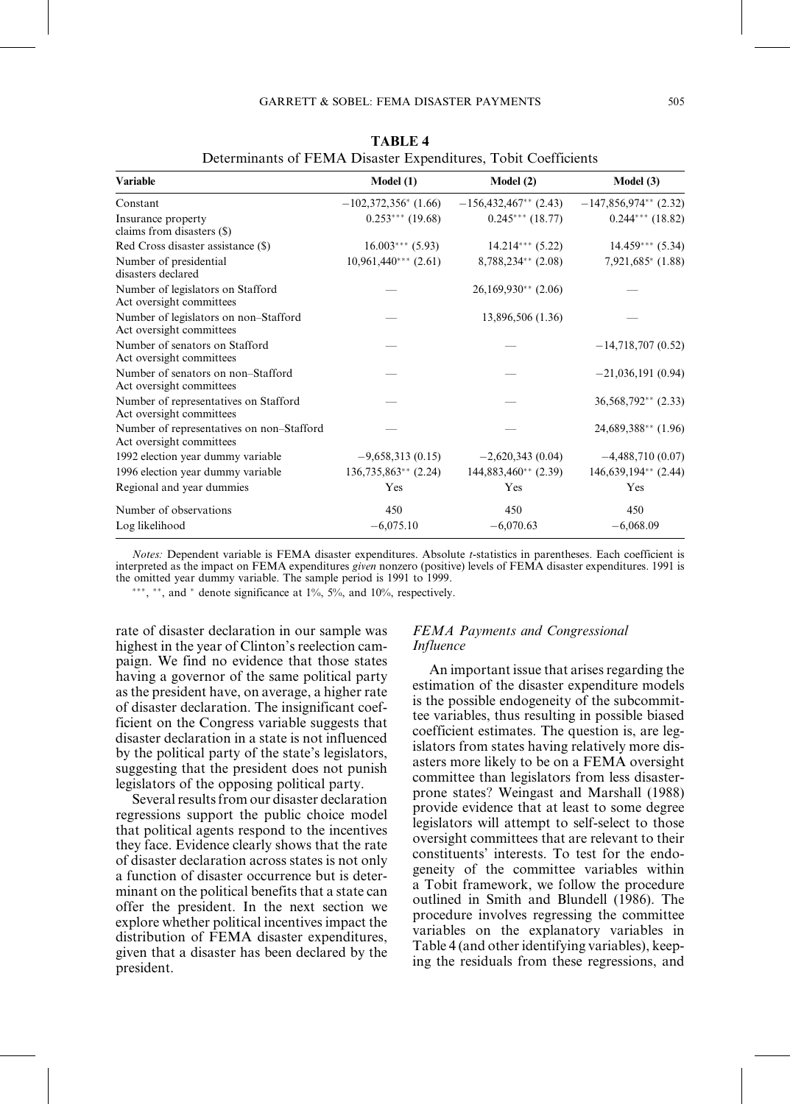| <b>Variable</b>                                                       | Model(1)                | Model(2)                | Model (3)               |
|-----------------------------------------------------------------------|-------------------------|-------------------------|-------------------------|
| Constant                                                              | $-102,372,356^*$ (1.66) | $-156,432,467**$ (2.43) | $-147,856,974**$ (2.32) |
| Insurance property<br>claims from disasters (\$)                      | $0.253***$ (19.68)      | $0.245***(18.77)$       | $0.244***$ (18.82)      |
| Red Cross disaster assistance (\$)                                    | $16.003***$ (5.93)      | $14.214***$ (5.22)      | $14.459***$ (5.34)      |
| Number of presidential<br>disasters declared                          | $10,961,440***$ (2.61)  | $8,788,234**$ (2.08)    | $7,921,685*$ (1.88)     |
| Number of legislators on Stafford<br>Act oversight committees         |                         | $26,169,930**$ (2.06)   |                         |
| Number of legislators on non-Stafford<br>Act oversight committees     |                         | 13,896,506 (1.36)       |                         |
| Number of senators on Stafford<br>Act oversight committees            |                         |                         | $-14,718,707(0.52)$     |
| Number of senators on non-Stafford<br>Act oversight committees        |                         |                         | $-21,036,191(0.94)$     |
| Number of representatives on Stafford<br>Act oversight committees     |                         |                         | $36,568,792**$ (2.33)   |
| Number of representatives on non-Stafford<br>Act oversight committees |                         |                         | 24,689,388** (1.96)     |
| 1992 election year dummy variable                                     | $-9,658,313(0.15)$      | $-2,620,343(0.04)$      | $-4,488,710(0.07)$      |
| 1996 election year dummy variable                                     | $136,735,863**$ (2.24)  | $144,883,460**$ (2.39)  | $146,639,194**$ (2.44)  |
| Regional and year dummies                                             | Yes                     | Yes                     | Yes                     |
| Number of observations                                                | 450                     | 450                     | 450                     |
| Log likelihood                                                        | $-6,075,10$             | $-6,070.63$             | $-6,068.09$             |

TABLE 4 Determinants of FEMA Disaster Expenditures, Tobit Coefficients

Notes: Dependent variable is FEMA disaster expenditures. Absolute t-statistics in parentheses. Each coefficient is interpreted as the impact on FEMA expenditures given nonzero (positive) levels of FEMA disaster expenditures. 1991 is the omitted year dummy variable. The sample period is 1991 to 1999.

\*\*\*, \*\*, and \* denote significance at  $1\%$ ,  $5\%$ , and  $10\%$ , respectively.

rate of disaster declaration in our sample was highest in the year of Clinton's reelection campaign. We find no evidence that those states having a governor of the same political party as the president have, on average, a higher rate of disaster declaration. The insignificant coefficient on the Congress variable suggests that disaster declaration in a state is not influenced by the political party of the state's legislators, suggesting that the president does not punish legislators of the opposing political party.

Several results from our disaster declaration regressions support the public choice model that political agents respond to the incentives they face. Evidence clearly shows that the rate of disaster declaration across states is not only a function of disaster occurrence but is determinant on the political benefits that a state can offer the president. In the next section we explore whether political incentives impact the distribution of FEMA disaster expenditures, given that a disaster has been declared by the president.

## FEMA Payments and Congressional Influence

An important issue that arises regarding the estimation of the disaster expenditure models is the possible endogeneity of the subcommittee variables, thus resulting in possible biased coefficient estimates. The question is, are legislators from states having relatively more disasters more likely to be on a FEMA oversight committee than legislators from less disasterprone states? Weingast and Marshall (1988) provide evidence that at least to some degree legislators will attempt to self-select to those oversight committees that are relevant to their constituents' interests. To test for the endogeneity of the committee variables within a Tobit framework, we follow the procedure outlined in Smith and Blundell (1986). The procedure involves regressing the committee variables on the explanatory variables in Table 4 (and other identifying variables), keeping the residuals from these regressions, and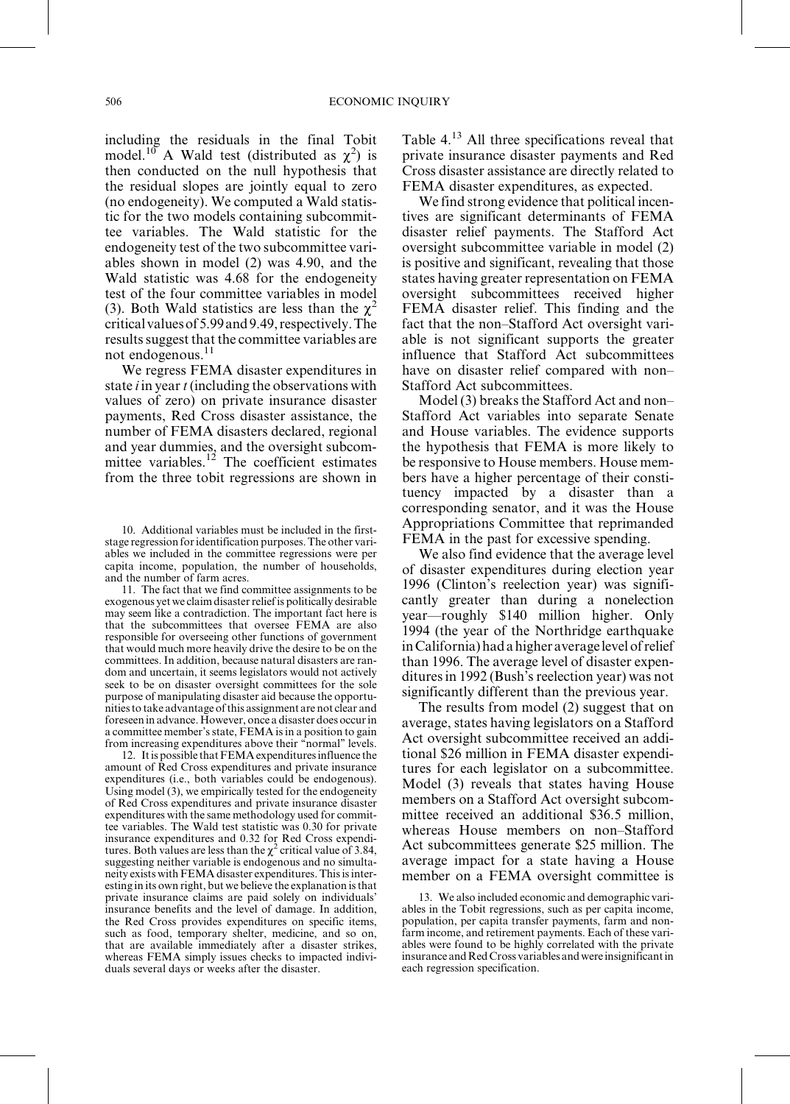including the residuals in the final Tobit model.<sup>10</sup> A Wald test (distributed as  $\chi^2$ ) is then conducted on the null hypothesis that the residual slopes are jointly equal to zero (no endogeneity). We computed a Wald statistic for the two models containing subcommittee variables. The Wald statistic for the endogeneity test of the two subcommittee variables shown in model (2) was 4.90, and the Wald statistic was 4.68 for the endogeneity test of the four committee variables in model (3). Both Wald statistics are less than the  $\chi^2$ criticalvaluesof5.99and9.49,respectively.The resultssuggest that the committee variables are not endogenous.<sup>11</sup>

We regress FEMA disaster expenditures in state  $i$  in year  $t$  (including the observations with values of zero) on private insurance disaster payments, Red Cross disaster assistance, the number of FEMA disasters declared, regional and year dummies, and the oversight subcommittee variables.<sup>12</sup> The coefficient estimates from the three tobit regressions are shown in

11. The fact that we find committee assignments to be exogenous yet we claim disasterreliefis politically desirable may seem like a contradiction. The important fact here is that the subcommittees that oversee FEMA are also responsible for overseeing other functions of government that would much more heavily drive the desire to be on the committees. In addition, because natural disasters are random and uncertain, it seems legislators would not actively seek to be on disaster oversight committees for the sole purpose of manipulating disaster aid because the opportunitiesto take advantage ofthis assignment are not clear and foreseen in advance. However, once a disaster does occurin a committee member'sstate, FEMA isin a position to gain from increasing expenditures above their "normal" levels.

12. It is possible that FEMA expenditures influence the amount of Red Cross expenditures and private insurance expenditures (i.e., both variables could be endogenous). Using model (3), we empirically tested for the endogeneity of Red Cross expenditures and private insurance disaster expenditures with the same methodology used for committee variables. The Wald test statistic was 0.30 for private insurance expenditures and 0.32 for Red Cross expenditures. Both values are less than the  $\chi^2$  critical value of 3.84, suggesting neither variable is endogenous and no simultaneity exists with FEMA disaster expenditures. This is interesting in its own right, but we believe the explanation isthat private insurance claims are paid solely on individuals' insurance benefits and the level of damage. In addition, the Red Cross provides expenditures on specific items, such as food, temporary shelter, medicine, and so on, that are available immediately after a disaster strikes, whereas FEMA simply issues checks to impacted individuals several days or weeks after the disaster.

Table 4.<sup>13</sup> All three specifications reveal that private insurance disaster payments and Red Cross disaster assistance are directly related to FEMA disaster expenditures, as expected.

We find strong evidence that political incentives are significant determinants of FEMA disaster relief payments. The Stafford Act oversight subcommittee variable in model (2) is positive and significant, revealing that those states having greater representation on FEMA oversight subcommittees received higher FEMA disaster relief. This finding and the fact that the non-Stafford Act oversight variable is not significant supports the greater influence that Stafford Act subcommittees have on disaster relief compared with non-Stafford Act subcommittees.

Model (3) breaks the Stafford Act and non– Stafford Act variables into separate Senate and House variables. The evidence supports the hypothesis that FEMA is more likely to be responsive to House members. House members have a higher percentage of their constituency impacted by a disaster than a corresponding senator, and it was the House Appropriations Committee that reprimanded FEMA in the past for excessive spending.

We also find evidence that the average level of disaster expenditures during election year 1996 (Clinton's reelection year) was significantly greater than during a nonelection year—roughly \$140 million higher. Only 1994 (the year of the Northridge earthquake in California) had a higher average level of relief than 1996. The average level of disaster expenditures in 1992 (Bush's reelection year) was not significantly different than the previous year.

The results from model (2) suggest that on average, states having legislators on a Stafford Act oversight subcommittee received an additional \$26 million in FEMA disaster expenditures for each legislator on a subcommittee. Model (3) reveals that states having House members on a Stafford Act oversight subcommittee received an additional \$36.5 million, whereas House members on non-Stafford Act subcommittees generate \$25 million. The average impact for a state having a House member on a FEMA oversight committee is

13. We also included economic and demographic variables in the Tobit regressions, such as per capita income, population, per capita transfer payments, farm and nonfarm income, and retirement payments. Each of these variables were found to be highly correlated with the private insurance and Red Cross variables and were insignificant in each regression specification.

<sup>10.</sup> Additional variables must be included in the firststage regression foridentification purposes.The other variables we included in the committee regressions were per capita income, population, the number of households, and the number of farm acres.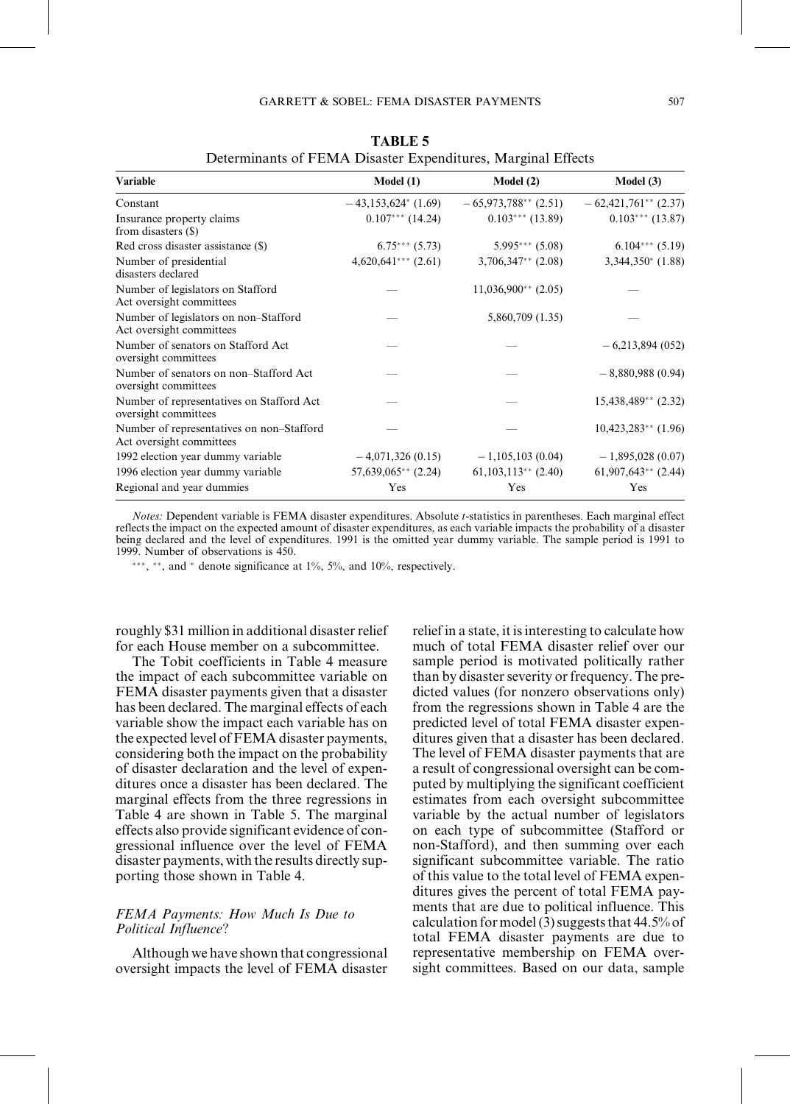| <b>Variable</b>                                                       | Model(1)                          | Model(2)               | Model $(3)$            |  |
|-----------------------------------------------------------------------|-----------------------------------|------------------------|------------------------|--|
| Constant                                                              | $-43,153,624$ <sup>*</sup> (1.69) | $-65,973,788**$ (2.51) | $-62,421,761**$ (2.37) |  |
| Insurance property claims<br>from disasters (\$)                      | $0.107***$ (14.24)                | $0.103***(13.89)$      | $0.103***$ (13.87)     |  |
| Red cross disaster assistance (\$)                                    | $6.75***(5.73)$                   | $5.995***(5.08)$       | $6.104***$ $(5.19)$    |  |
| Number of presidential<br>disasters declared                          | $4,620,641***$ (2.61)             | $3,706,347**$ (2.08)   | $3,344,350*$ (1.88)    |  |
| Number of legislators on Stafford<br>Act oversight committees         |                                   | $11,036,900**$ (2.05)  |                        |  |
| Number of legislators on non-Stafford<br>Act oversight committees     |                                   | 5,860,709 (1.35)       |                        |  |
| Number of senators on Stafford Act<br>oversight committees            |                                   |                        | $-6,213,894(052)$      |  |
| Number of senators on non-Stafford Act<br>oversight committees        |                                   |                        | $-8,880,988(0.94)$     |  |
| Number of representatives on Stafford Act<br>oversight committees     |                                   |                        | $15,438,489**$ (2.32)  |  |
| Number of representatives on non-Stafford<br>Act oversight committees |                                   |                        | $10,423,283**$ (1.96)  |  |
| 1992 election year dummy variable                                     | $-4,071,326(0.15)$                | $-1,105,103(0.04)$     | $-1,895,028(0.07)$     |  |
| 1996 election year dummy variable                                     | $57,639,065**$ (2.24)             | $61,103,113**$ (2.40)  | $61,907,643**$ (2.44)  |  |
| Regional and year dummies                                             | Yes                               | Yes                    | Yes                    |  |

TABLE 5 Determinants of FEMA Disaster Expenditures, Marginal Effects

Notes: Dependent variable is FEMA disaster expenditures. Absolute t-statistics in parentheses. Each marginal effect reflects the impact on the expected amount of disaster expenditures, as each variable impacts the probability of a disaster being declared and the level of expenditures. 1991 is the omitted year dummy variable. The sample period is 1991 to 1999. Number of observations is 450.

\*\*\*, \*\*, and \* denote significance at  $1\%$ ,  $5\%$ , and  $10\%$ , respectively.

roughly \$31 million in additional disaster relief for each House member on a subcommittee.

The Tobit coefficients in Table 4 measure the impact of each subcommittee variable on FEMA disaster payments given that a disaster has been declared. The marginal effects of each variable show the impact each variable has on the expected level of FEMA disaster payments, considering both the impact on the probability of disaster declaration and the level of expenditures once a disaster has been declared. The marginal effects from the three regressions in Table 4 are shown in Table 5. The marginal effects also provide significant evidence of congressional influence over the level of FEMA disaster payments, with the results directly supporting those shown in Table 4.

# FEMA Payments: How Much Is Due to Political Influence?

Although we have shown that congressional oversight impacts the level of FEMA disaster relief in a state, it is interesting to calculate how much of total FEMA disaster relief over our sample period is motivated politically rather than by disaster severity or frequency. The predicted values (for nonzero observations only) from the regressions shown in Table 4 are the predicted level of total FEMA disaster expenditures given that a disaster has been declared. The level of FEMA disaster payments that are a result of congressional oversight can be computed by multiplying the significant coefficient estimates from each oversight subcommittee variable by the actual number of legislators on each type of subcommittee (Stafford or non-Stafford), and then summing over each significant subcommittee variable. The ratio of this value to the total level of FEMA expenditures gives the percent of total FEMA payments that are due to political influence. This calculation for model (3) suggests that  $44.5\%$  of total FEMA disaster payments are due to representative membership on FEMA oversight committees. Based on our data, sample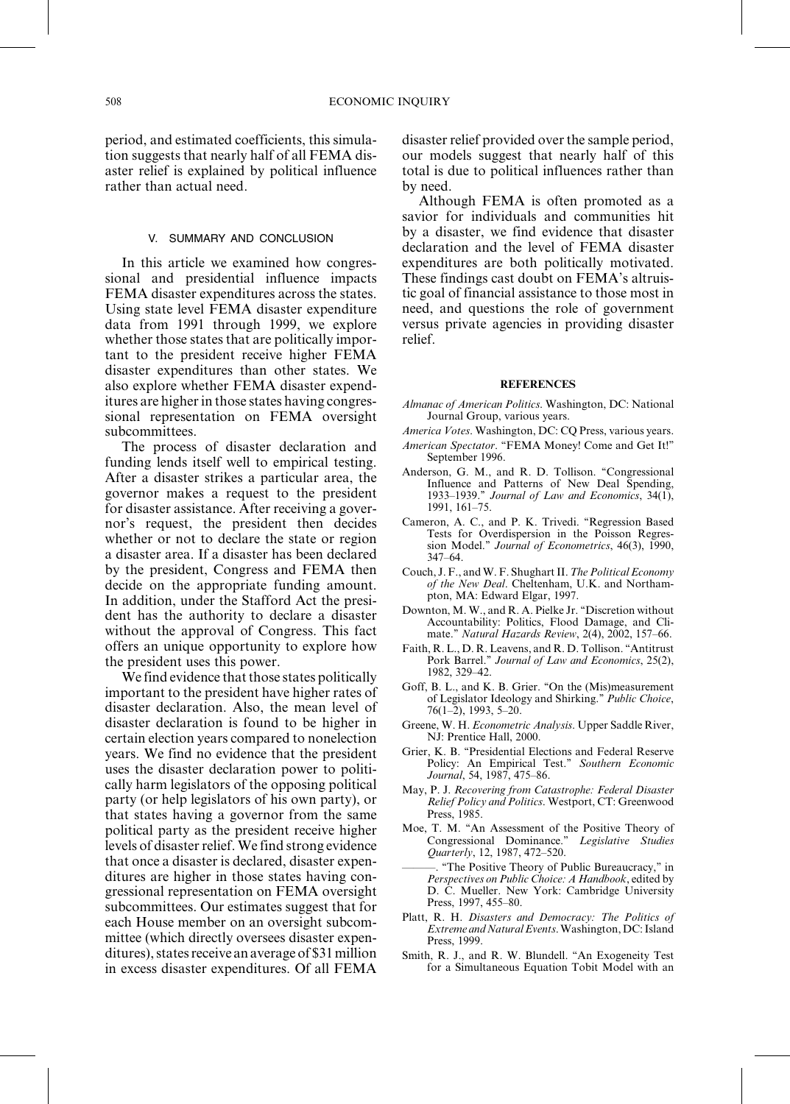period, and estimated coefficients, this simulation suggests that nearly half of all FEMA disaster relief is explained by political influence rather than actual need.

#### V. SUMMARY AND CONCLUSION

In this article we examined how congressional and presidential influence impacts FEMA disaster expenditures across the states. Using state level FEMA disaster expenditure data from 1991 through 1999, we explore whether those states that are politically important to the president receive higher FEMA disaster expenditures than other states. We also explore whether FEMA disaster expenditures are higher in those states having congressional representation on FEMA oversight subcommittees.

The process of disaster declaration and funding lends itself well to empirical testing. After a disaster strikes a particular area, the governor makes a request to the president for disaster assistance. After receiving a governor's request, the president then decides whether or not to declare the state or region a disaster area. If a disaster has been declared by the president, Congress and FEMA then decide on the appropriate funding amount. In addition, under the Stafford Act the president has the authority to declare a disaster without the approval of Congress. This fact offers an unique opportunity to explore how the president uses this power.

We find evidence that those states politically important to the president have higher rates of disaster declaration. Also, the mean level of disaster declaration is found to be higher in certain election years compared to nonelection years. We find no evidence that the president uses the disaster declaration power to politically harm legislators of the opposing political party (or help legislators of his own party), or that states having a governor from the same political party as the president receive higher levels of disaster relief. We find strong evidence that once a disaster is declared, disaster expenditures are higher in those states having congressional representation on FEMA oversight subcommittees. Our estimates suggest that for each House member on an oversight subcommittee (which directly oversees disaster expenditures), states receive an average of \$31 million in excess disaster expenditures. Of all FEMA

disaster relief provided over the sample period, our models suggest that nearly half of this total is due to political influences rather than by need.

Although FEMA is often promoted as a savior for individuals and communities hit by a disaster, we find evidence that disaster declaration and the level of FEMA disaster expenditures are both politically motivated. These findings cast doubt on FEMA's altruistic goal of financial assistance to those most in need, and questions the role of government versus private agencies in providing disaster relief.

#### **REFERENCES**

- Almanac of American Politics. Washington, DC: National Journal Group, various years.
- America Votes. Washington, DC: CQ Press, various years.
- American Spectator. "FEMA Money! Come and Get It!" September 1996.
- Anderson, G. M., and R. D. Tollison. "Congressional Influence and Patterns of New Deal Spending, 1933–1939." Journal of Law and Economics,  $34(1)$ , 1991, 161-75.
- Cameron, A. C., and P. K. Trivedi. "Regression Based Tests for Overdispersion in the Poisson Regression Model." Journal of Econometrics, 46(3), 1990,  $347-64.$
- Couch, J.F., and W.F. Shughart II. The Political Economy of the New Deal. Cheltenham, U.K. and Northampton, MA: Edward Elgar, 1997.
- Downton, M. W., and R. A. Pielke Jr. "Discretion without Accountability: Politics, Flood Damage, and Climate." Natural Hazards Review, 2(4), 2002, 157-66.
- Faith, R. L., D. R. Leavens, and R. D. Tollison. "Antitrust Pork Barrel.'' Journal of Law and Economics, 25(2), 1982, 329-42.
- Goff, B. L., and K. B. Grier. "On the (Mis)measurement of Legislator Ideology and Shirking.'' Public Choice,  $76(1-2)$ , 1993, 5-20.
- Greene, W. H. Econometric Analysis. Upper Saddle River, NJ: Prentice Hall, 2000.
- Grier, K. B. "Presidential Elections and Federal Reserve Policy: An Empirical Test." Southern Economic Journal, 54, 1987, 475-86.
- May, P. J. Recovering from Catastrophe: Federal Disaster Relief Policy and Politics. Westport, CT: Greenwood Press, 1985.
- Moe, T. M. "An Assessment of the Positive Theory of Congressional Dominance.'' Legislative Studies  $Quarterly, 12, 1987, 472–520.$
- ÐÐÐ. ``The Positive Theory of Public Bureaucracy,'' in Perspectives on Public Choice: A Handbook, edited by D. C. Mueller. New York: Cambridge University Press, 1997, 455-80.
- Platt, R. H. Disasters and Democracy: The Politics of Extreme and Natural Events. Washington, DC: Island Press, 1999.
- Smith, R. J., and R. W. Blundell. "An Exogeneity Test for a Simultaneous Equation Tobit Model with an